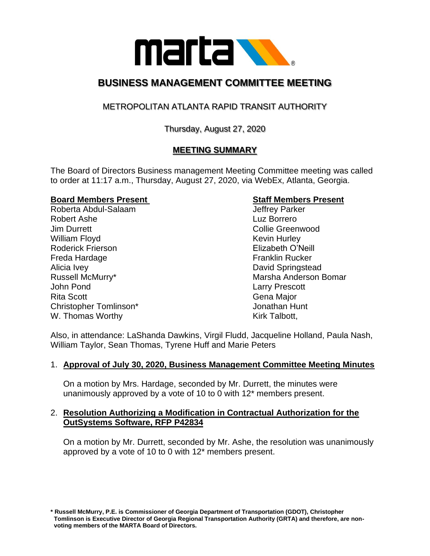

# **BUSINESS MANAGEMENT COMMITTEE MEETING**

## METROPOLITAN ATLANTA RAPID TRANSIT AUTHORITY

## Thursday, August 27, 2020

## **MEETING SUMMARY**

The Board of Directors Business management Meeting Committee meeting was called to order at 11:17 a.m., Thursday, August 27, 2020, via WebEx, Atlanta, Georgia.

### **Board Members Present Communist Communist Communist Communist Communist Communist Communist Communist Communist Communist Communist Communist Communist Communist Communist Communist Communist Communist Communist Communist**

Roberta Abdul-Salaam Jeffrey Parker Robert Ashe Luz Borrero Jim Durrett Collie Greenwood William Floyd **Kevin Hurley** Kevin Hurley Roderick Frierson Elizabeth O'Neill Freda Hardage Franklin Rucker Alicia Ivey **David Springstead** John Pond Larry Prescott Rita Scott **Gena Major** Gena Major Christopher Tomlinson\* Jonathan Hunt W. Thomas Worthy Note 2008 and North W. Thomas Worthy New York 2008 and North Warehouse 2012

Russell McMurry\* The Communist Communist Communist Communist Communist Communist Communist Communist Communist Communist Communist Communist Communist Communist Communist Communist Communist Communist Communist Communist C

Also, in attendance: LaShanda Dawkins, Virgil Fludd, Jacqueline Holland, Paula Nash, William Taylor, Sean Thomas, Tyrene Huff and Marie Peters

### 1. **Approval of July 30, 2020, Business Management Committee Meeting Minutes**

On a motion by Mrs. Hardage, seconded by Mr. Durrett, the minutes were unanimously approved by a vote of 10 to 0 with 12\* members present.

### 2. **Resolution Authorizing a Modification in Contractual Authorization for the OutSystems Software, RFP P42834**

On a motion by Mr. Durrett, seconded by Mr. Ashe, the resolution was unanimously approved by a vote of 10 to 0 with 12\* members present.

**\* Russell McMurry, P.E. is Commissioner of Georgia Department of Transportation (GDOT), Christopher Tomlinson is Executive Director of Georgia Regional Transportation Authority (GRTA) and therefore, are non voting members of the MARTA Board of Directors.**